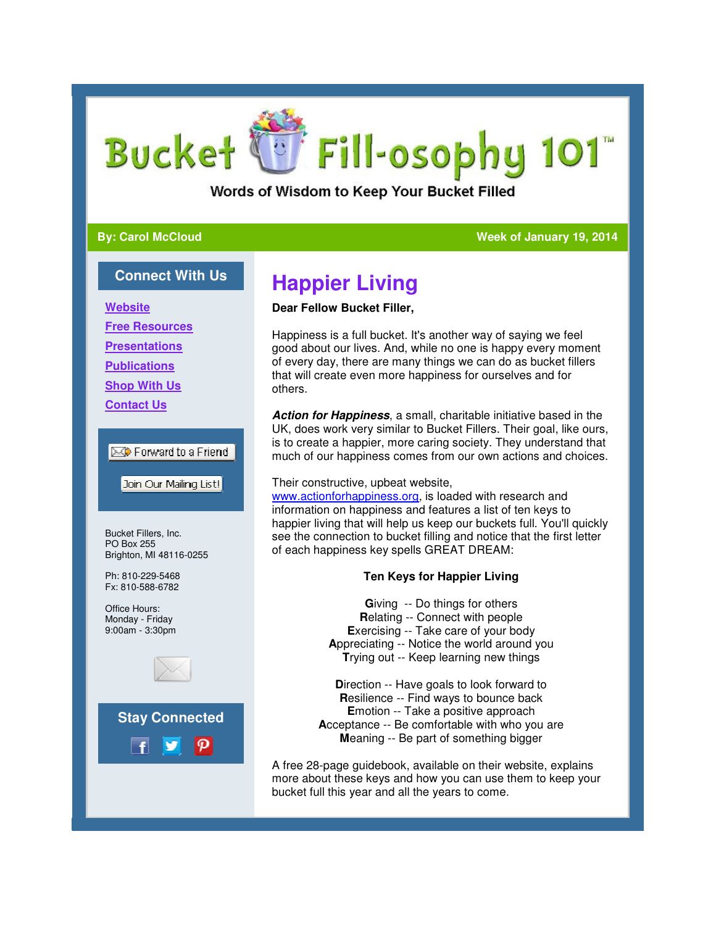# U Fill-osophy 101 **Bucket**

Words of Wisdom to Keep Your Bucket Filled

#### **By: Carol McCloud**

#### **Week of January 19, 2014 2014**

#### **Connect With Us**

**Website**

**Free Resources**

**Presentations**

**Publications**

**Shop With Us**

**Contact Us**

#### Forward to a Friend

Join Our Mailing List!

Bucket Fillers, Inc. PO Box 255 Brighton, MI 48116-0255

Ph: 810-229-5468 Fx: 810-588-6782

Office Hours: Monday - Friday 9:00am - 3:30pm



## **Happier Living**

#### **Dear Fellow Bucket Filler,**

Happiness is a full bucket. It's another way of saying we feel good about our lives. And, while no one is happy every moment of every day, there are many things we can do as bucket fillers that will create even more happiness for ourselves and for others. Happiness is a full bucket. It's another way of saying we feel<br>good about our lives. And, while no one is happy every moment<br>of every day, there are many things we can do as bucket fillers<br>that will create even more happin

**Action for Happiness**, a small, charitable initiative based in the UK, does work very similar to Bucket Fillers. Their goal, like ours, is to create a happier, more caring society. They understand that much of our happiness comes from our own actions and choices.

#### Their constructive, upbeat website,

www.actionforhappiness.org, is loaded with research and information on happiness and features a list of ten keys to happier living that will help us keep our buckets full. You'll quickly see the connection to bucket filling and notice that the first letter of each happiness key spells GREAT DREAM:

#### **Ten Keys for Happier Living**

**G**iving -- Do things for others **R**elating -- Connect with people **E**xercising -- Take care of your body **A**ppreciating -- Notice the world around you **T**rying out -- Keep learning new things

**Direction -- Have goals to look forward to R**esilience -- Find ways to bounce back **E**motion -- Take a positive approach **A**cceptance -- Be comfortable with who you are **M**eaning -- Be part of something bigger Exercising -- Take care of your body<br>
Appreciating -- Notice the world around yo<br>
Trying out -- Keep learning new things<br>
Direction -- Have goals to look forward to<br>
Resilience -- Find ways to bounce back<br>
Emotion -- Take

A free 28-page guidebook, available on their website, explains more about these keys and how you can use them to keep your bucket full this year and all the years to come.